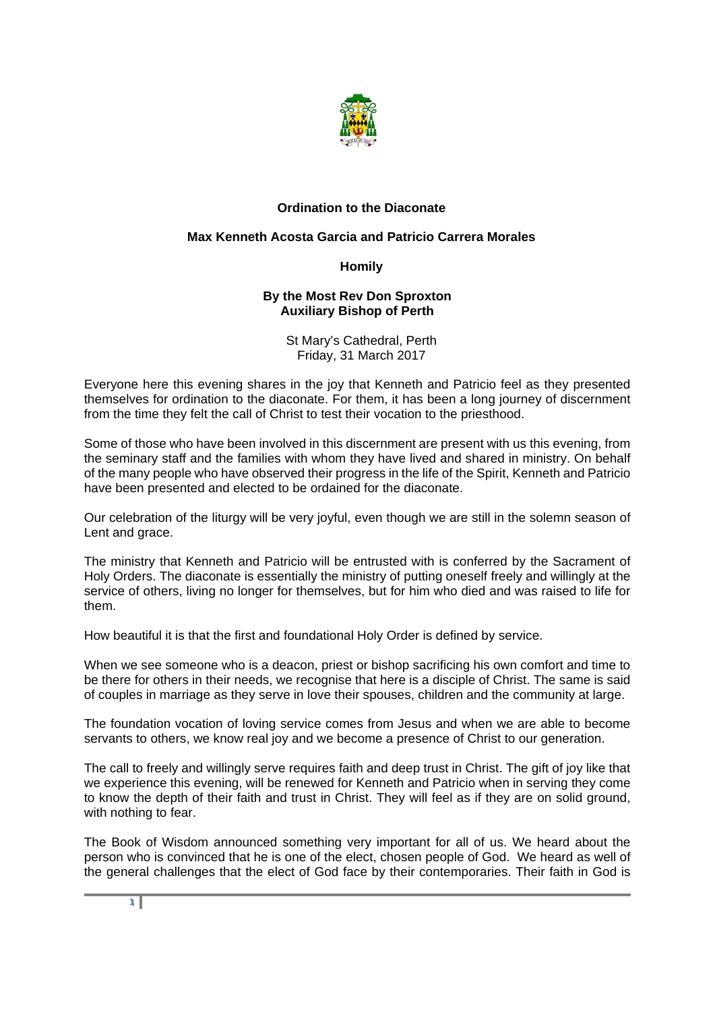

## **Ordination to the Diaconate**

## **Max Kenneth Acosta Garcia and Patricio Carrera Morales**

**Homily** 

## **By the Most Rev Don Sproxton Auxiliary Bishop of Perth**

St Mary's Cathedral, Perth Friday, 31 March 2017

Everyone here this evening shares in the joy that Kenneth and Patricio feel as they presented themselves for ordination to the diaconate. For them, it has been a long journey of discernment from the time they felt the call of Christ to test their vocation to the priesthood.

Some of those who have been involved in this discernment are present with us this evening, from the seminary staff and the families with whom they have lived and shared in ministry. On behalf of the many people who have observed their progress in the life of the Spirit, Kenneth and Patricio have been presented and elected to be ordained for the diaconate.

Our celebration of the liturgy will be very joyful, even though we are still in the solemn season of Lent and grace.

The ministry that Kenneth and Patricio will be entrusted with is conferred by the Sacrament of Holy Orders. The diaconate is essentially the ministry of putting oneself freely and willingly at the service of others, living no longer for themselves, but for him who died and was raised to life for them.

How beautiful it is that the first and foundational Holy Order is defined by service.

When we see someone who is a deacon, priest or bishop sacrificing his own comfort and time to be there for others in their needs, we recognise that here is a disciple of Christ. The same is said of couples in marriage as they serve in love their spouses, children and the community at large.

The foundation vocation of loving service comes from Jesus and when we are able to become servants to others, we know real joy and we become a presence of Christ to our generation.

The call to freely and willingly serve requires faith and deep trust in Christ. The gift of joy like that we experience this evening, will be renewed for Kenneth and Patricio when in serving they come to know the depth of their faith and trust in Christ. They will feel as if they are on solid ground, with nothing to fear.

The Book of Wisdom announced something very important for all of us. We heard about the person who is convinced that he is one of the elect, chosen people of God. We heard as well of the general challenges that the elect of God face by their contemporaries. Their faith in God is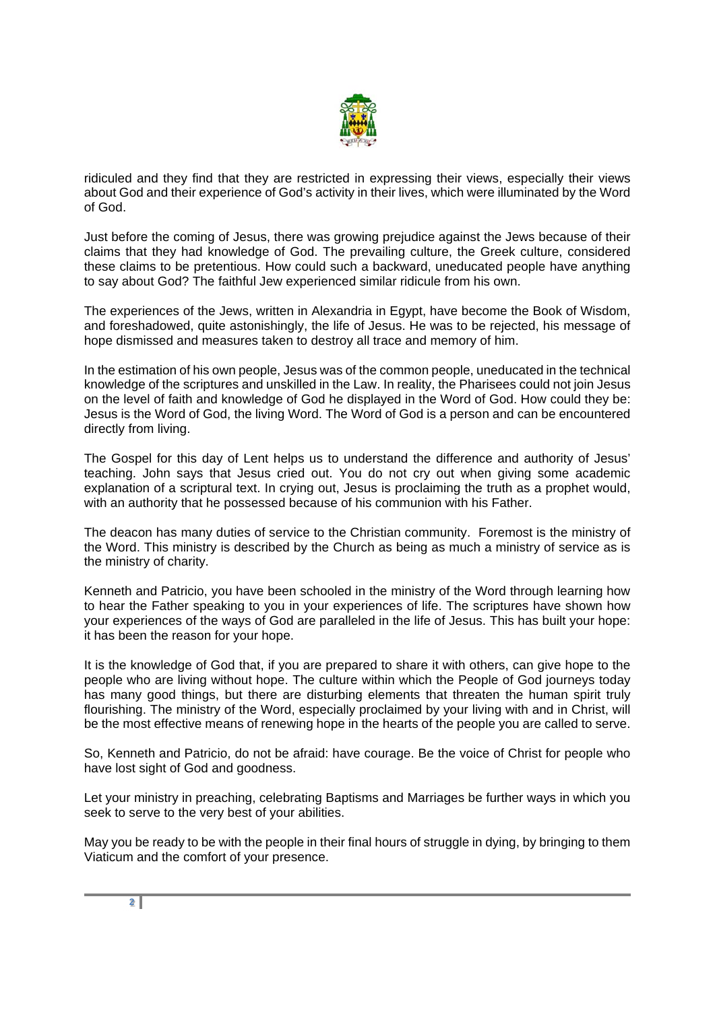

ridiculed and they find that they are restricted in expressing their views, especially their views about God and their experience of God's activity in their lives, which were illuminated by the Word of God.

Just before the coming of Jesus, there was growing prejudice against the Jews because of their claims that they had knowledge of God. The prevailing culture, the Greek culture, considered these claims to be pretentious. How could such a backward, uneducated people have anything to say about God? The faithful Jew experienced similar ridicule from his own.

The experiences of the Jews, written in Alexandria in Egypt, have become the Book of Wisdom, and foreshadowed, quite astonishingly, the life of Jesus. He was to be rejected, his message of hope dismissed and measures taken to destroy all trace and memory of him.

In the estimation of his own people, Jesus was of the common people, uneducated in the technical knowledge of the scriptures and unskilled in the Law. In reality, the Pharisees could not join Jesus on the level of faith and knowledge of God he displayed in the Word of God. How could they be: Jesus is the Word of God, the living Word. The Word of God is a person and can be encountered directly from living.

The Gospel for this day of Lent helps us to understand the difference and authority of Jesus' teaching. John says that Jesus cried out. You do not cry out when giving some academic explanation of a scriptural text. In crying out, Jesus is proclaiming the truth as a prophet would, with an authority that he possessed because of his communion with his Father.

The deacon has many duties of service to the Christian community. Foremost is the ministry of the Word. This ministry is described by the Church as being as much a ministry of service as is the ministry of charity.

Kenneth and Patricio, you have been schooled in the ministry of the Word through learning how to hear the Father speaking to you in your experiences of life. The scriptures have shown how your experiences of the ways of God are paralleled in the life of Jesus. This has built your hope: it has been the reason for your hope.

It is the knowledge of God that, if you are prepared to share it with others, can give hope to the people who are living without hope. The culture within which the People of God journeys today has many good things, but there are disturbing elements that threaten the human spirit truly flourishing. The ministry of the Word, especially proclaimed by your living with and in Christ, will be the most effective means of renewing hope in the hearts of the people you are called to serve.

So, Kenneth and Patricio, do not be afraid: have courage. Be the voice of Christ for people who have lost sight of God and goodness.

Let your ministry in preaching, celebrating Baptisms and Marriages be further ways in which you seek to serve to the very best of your abilities.

May you be ready to be with the people in their final hours of struggle in dying, by bringing to them Viaticum and the comfort of your presence.